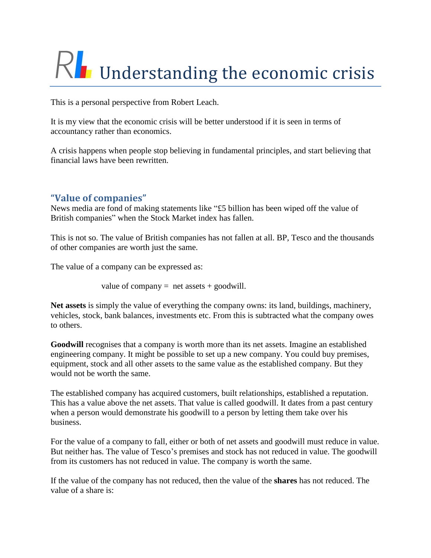# Understanding the economic crisis

This is a personal perspective from Robert Leach.

It is my view that the economic crisis will be better understood if it is seen in terms of accountancy rather than economics.

A crisis happens when people stop believing in fundamental principles, and start believing that financial laws have been rewritten.

# **"Value of companies"**

News media are fond of making statements like "£5 billion has been wiped off the value of British companies" when the Stock Market index has fallen.

This is not so. The value of British companies has not fallen at all. BP, Tesco and the thousands of other companies are worth just the same.

The value of a company can be expressed as:

value of company  $=$  net assets  $+$  goodwill.

**Net assets** is simply the value of everything the company owns: its land, buildings, machinery, vehicles, stock, bank balances, investments etc. From this is subtracted what the company owes to others.

Goodwill recognises that a company is worth more than its net assets. Imagine an established engineering company. It might be possible to set up a new company. You could buy premises, equipment, stock and all other assets to the same value as the established company. But they would not be worth the same.

The established company has acquired customers, built relationships, established a reputation. This has a value above the net assets. That value is called goodwill. It dates from a past century when a person would demonstrate his goodwill to a person by letting them take over his business.

For the value of a company to fall, either or both of net assets and goodwill must reduce in value. But neither has. The value of Tesco's premises and stock has not reduced in value. The goodwill from its customers has not reduced in value. The company is worth the same.

If the value of the company has not reduced, then the value of the **shares** has not reduced. The value of a share is: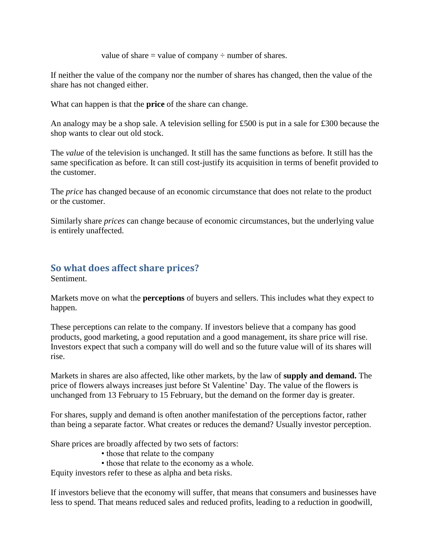value of share  $=$  value of company  $\div$  number of shares.

If neither the value of the company nor the number of shares has changed, then the value of the share has not changed either.

What can happen is that the **price** of the share can change.

An analogy may be a shop sale. A television selling for £500 is put in a sale for £300 because the shop wants to clear out old stock.

The *value* of the television is unchanged. It still has the same functions as before. It still has the same specification as before. It can still cost-justify its acquisition in terms of benefit provided to the customer.

The *price* has changed because of an economic circumstance that does not relate to the product or the customer.

Similarly share *prices* can change because of economic circumstances, but the underlying value is entirely unaffected.

# **So what does affect share prices?**

Sentiment.

Markets move on what the **perceptions** of buyers and sellers. This includes what they expect to happen.

These perceptions can relate to the company. If investors believe that a company has good products, good marketing, a good reputation and a good management, its share price will rise. Investors expect that such a company will do well and so the future value will of its shares will rise.

Markets in shares are also affected, like other markets, by the law of **supply and demand.** The price of flowers always increases just before St Valentine' Day. The value of the flowers is unchanged from 13 February to 15 February, but the demand on the former day is greater.

For shares, supply and demand is often another manifestation of the perceptions factor, rather than being a separate factor. What creates or reduces the demand? Usually investor perception.

Share prices are broadly affected by two sets of factors:

- those that relate to the company
- those that relate to the economy as a whole.

Equity investors refer to these as alpha and beta risks.

If investors believe that the economy will suffer, that means that consumers and businesses have less to spend. That means reduced sales and reduced profits, leading to a reduction in goodwill,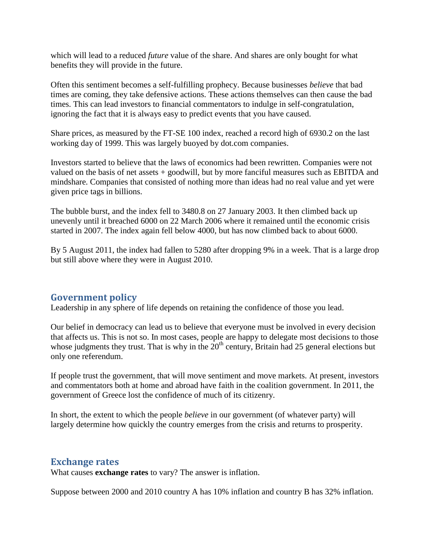which will lead to a reduced *future* value of the share. And shares are only bought for what benefits they will provide in the future.

Often this sentiment becomes a self-fulfilling prophecy. Because businesses *believe* that bad times are coming, they take defensive actions. These actions themselves can then cause the bad times. This can lead investors to financial commentators to indulge in self-congratulation, ignoring the fact that it is always easy to predict events that you have caused.

Share prices, as measured by the FT-SE 100 index, reached a record high of 6930.2 on the last working day of 1999. This was largely buoyed by dot.com companies.

Investors started to believe that the laws of economics had been rewritten. Companies were not valued on the basis of net assets + goodwill, but by more fanciful measures such as EBITDA and mindshare. Companies that consisted of nothing more than ideas had no real value and yet were given price tags in billions.

The bubble burst, and the index fell to 3480.8 on 27 January 2003. It then climbed back up unevenly until it breached 6000 on 22 March 2006 where it remained until the economic crisis started in 2007. The index again fell below 4000, but has now climbed back to about 6000.

By 5 August 2011, the index had fallen to 5280 after dropping 9% in a week. That is a large drop but still above where they were in August 2010.

## **Government policy**

Leadership in any sphere of life depends on retaining the confidence of those you lead.

Our belief in democracy can lead us to believe that everyone must be involved in every decision that affects us. This is not so. In most cases, people are happy to delegate most decisions to those whose judgments they trust. That is why in the  $20<sup>th</sup>$  century, Britain had 25 general elections but only one referendum.

If people trust the government, that will move sentiment and move markets. At present, investors and commentators both at home and abroad have faith in the coalition government. In 2011, the government of Greece lost the confidence of much of its citizenry.

In short, the extent to which the people *believe* in our government (of whatever party) will largely determine how quickly the country emerges from the crisis and returns to prosperity.

#### **Exchange rates**

What causes **exchange rates** to vary? The answer is inflation.

Suppose between 2000 and 2010 country A has 10% inflation and country B has 32% inflation.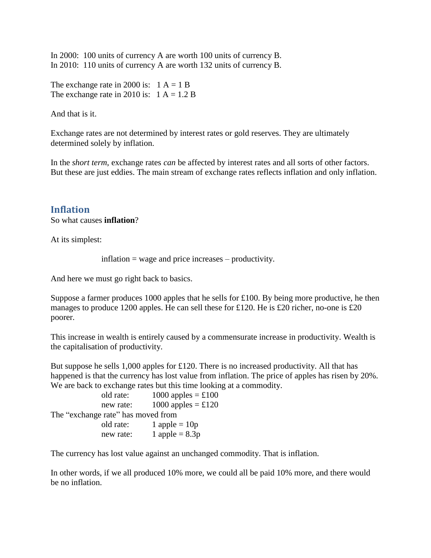In 2000: 100 units of currency A are worth 100 units of currency B. In 2010: 110 units of currency A are worth 132 units of currency B.

The exchange rate in 2000 is:  $1 A = 1 B$ The exchange rate in 2010 is:  $1 A = 1.2 B$ 

And that is it.

Exchange rates are not determined by interest rates or gold reserves. They are ultimately determined solely by inflation.

In the *short term*, exchange rates *can* be affected by interest rates and all sorts of other factors. But these are just eddies. The main stream of exchange rates reflects inflation and only inflation.

### **Inflation**

So what causes **inflation**?

At its simplest:

inflation = wage and price increases – productivity.

And here we must go right back to basics.

Suppose a farmer produces 1000 apples that he sells for £100. By being more productive, he then manages to produce 1200 apples. He can sell these for £120. He is £20 richer, no-one is £20 poorer.

This increase in wealth is entirely caused by a commensurate increase in productivity. Wealth is the capitalisation of productivity.

But suppose he sells 1,000 apples for £120. There is no increased productivity. All that has happened is that the currency has lost value from inflation. The price of apples has risen by 20%. We are back to exchange rates but this time looking at a commodity.

| old rate:                          | 1000 apples = $\pounds$ 100 |
|------------------------------------|-----------------------------|
| new rate:                          | 1000 apples = $\pounds$ 120 |
| The "exchange rate" has moved from |                             |
| old rate:                          | 1 apple = $10p$             |
| new rate:                          | 1 apple = $8.3p$            |

The currency has lost value against an unchanged commodity. That is inflation.

In other words, if we all produced 10% more, we could all be paid 10% more, and there would be no inflation.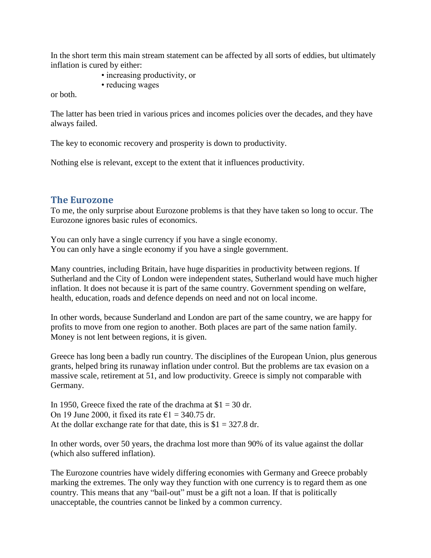In the short term this main stream statement can be affected by all sorts of eddies, but ultimately inflation is cured by either:

- increasing productivity, or
- reducing wages

or both.

The latter has been tried in various prices and incomes policies over the decades, and they have always failed.

The key to economic recovery and prosperity is down to productivity.

Nothing else is relevant, except to the extent that it influences productivity.

### **The Eurozone**

To me, the only surprise about Eurozone problems is that they have taken so long to occur. The Eurozone ignores basic rules of economics.

You can only have a single currency if you have a single economy. You can only have a single economy if you have a single government.

Many countries, including Britain, have huge disparities in productivity between regions. If Sutherland and the City of London were independent states, Sutherland would have much higher inflation. It does not because it is part of the same country. Government spending on welfare, health, education, roads and defence depends on need and not on local income.

In other words, because Sunderland and London are part of the same country, we are happy for profits to move from one region to another. Both places are part of the same nation family. Money is not lent between regions, it is given.

Greece has long been a badly run country. The disciplines of the European Union, plus generous grants, helped bring its runaway inflation under control. But the problems are tax evasion on a massive scale, retirement at 51, and low productivity. Greece is simply not comparable with Germany.

In 1950, Greece fixed the rate of the drachma at  $$1 = 30$  dr. On 19 June 2000, it fixed its rate  $\epsilon$ 1 = 340.75 dr. At the dollar exchange rate for that date, this is  $$1 = 327.8$  dr.

In other words, over 50 years, the drachma lost more than 90% of its value against the dollar (which also suffered inflation).

The Eurozone countries have widely differing economies with Germany and Greece probably marking the extremes. The only way they function with one currency is to regard them as one country. This means that any "bail-out" must be a gift not a loan. If that is politically unacceptable, the countries cannot be linked by a common currency.